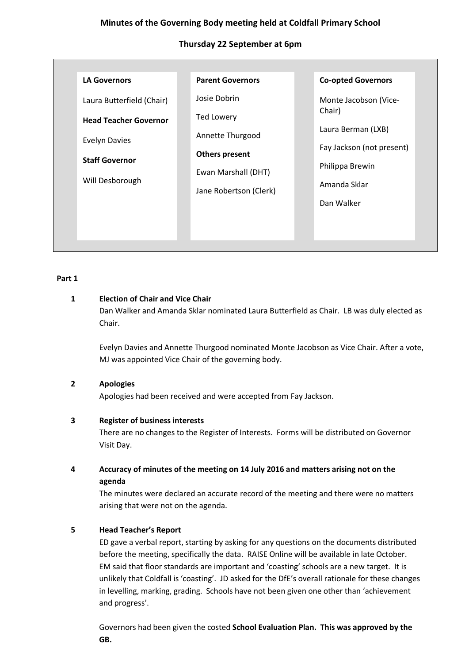# **Minutes of the Governing Body meeting held at Coldfall Primary School**

# **Thursday 22 September at 6pm**

| <b>LA Governors</b>          | <b>Parent Governors</b> | <b>Co-opted Governors</b>       |
|------------------------------|-------------------------|---------------------------------|
| Laura Butterfield (Chair)    | Josie Dobrin            | Monte Jacobson (Vice-           |
| <b>Head Teacher Governor</b> | <b>Ted Lowery</b>       | Chair)                          |
| <b>Evelyn Davies</b>         | Annette Thurgood        | Laura Berman (LXB)              |
| <b>Staff Governor</b>        | <b>Others present</b>   | Fay Jackson (not present)       |
| Will Desborough              | Ewan Marshall (DHT)     | Philippa Brewin<br>Amanda Sklar |
|                              | Jane Robertson (Clerk)  | Dan Walker                      |
|                              |                         |                                 |
|                              |                         |                                 |

## **Part 1**

# **1 Election of Chair and Vice Chair**

Dan Walker and Amanda Sklar nominated Laura Butterfield as Chair. LB was duly elected as Chair.

Evelyn Davies and Annette Thurgood nominated Monte Jacobson as Vice Chair. After a vote, MJ was appointed Vice Chair of the governing body.

# **2 Apologies**

Apologies had been received and were accepted from Fay Jackson.

# **3 Register of business interests**

There are no changes to the Register of Interests. Forms will be distributed on Governor Visit Day.

**4 Accuracy of minutes of the meeting on 14 July 2016 and matters arising not on the agenda**

The minutes were declared an accurate record of the meeting and there were no matters arising that were not on the agenda.

# **5 Head Teacher's Report**

ED gave a verbal report, starting by asking for any questions on the documents distributed before the meeting, specifically the data. RAISE Online will be available in late October. EM said that floor standards are important and 'coasting' schools are a new target. It is unlikely that Coldfall is 'coasting'. JD asked for the DfE's overall rationale for these changes in levelling, marking, grading. Schools have not been given one other than 'achievement and progress'.

Governors had been given the costed **School Evaluation Plan. This was approved by the GB.**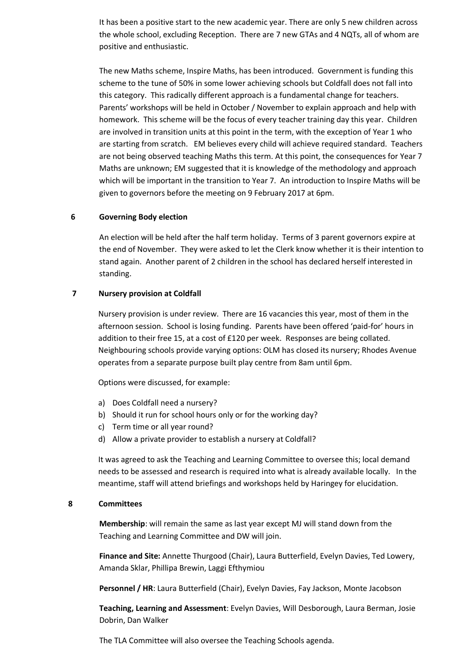It has been a positive start to the new academic year. There are only 5 new children across the whole school, excluding Reception. There are 7 new GTAs and 4 NQTs, all of whom are positive and enthusiastic.

The new Maths scheme, Inspire Maths, has been introduced. Government is funding this scheme to the tune of 50% in some lower achieving schools but Coldfall does not fall into this category. This radically different approach is a fundamental change for teachers. Parents' workshops will be held in October / November to explain approach and help with homework. This scheme will be the focus of every teacher training day this year. Children are involved in transition units at this point in the term, with the exception of Year 1 who are starting from scratch. EM believes every child will achieve required standard. Teachers are not being observed teaching Maths this term. At this point, the consequences for Year 7 Maths are unknown; EM suggested that it is knowledge of the methodology and approach which will be important in the transition to Year 7. An introduction to Inspire Maths will be given to governors before the meeting on 9 February 2017 at 6pm.

#### **6 Governing Body election**

An election will be held after the half term holiday. Terms of 3 parent governors expire at the end of November. They were asked to let the Clerk know whether it is their intention to stand again. Another parent of 2 children in the school has declared herself interested in standing.

#### **7 Nursery provision at Coldfall**

Nursery provision is under review. There are 16 vacancies this year, most of them in the afternoon session. School is losing funding. Parents have been offered 'paid-for' hours in addition to their free 15, at a cost of £120 per week. Responses are being collated. Neighbouring schools provide varying options: OLM has closed its nursery; Rhodes Avenue operates from a separate purpose built play centre from 8am until 6pm.

Options were discussed, for example:

- a) Does Coldfall need a nursery?
- b) Should it run for school hours only or for the working day?
- c) Term time or all year round?
- d) Allow a private provider to establish a nursery at Coldfall?

It was agreed to ask the Teaching and Learning Committee to oversee this; local demand needs to be assessed and research is required into what is already available locally. In the meantime, staff will attend briefings and workshops held by Haringey for elucidation.

### **8 Committees**

**Membership**: will remain the same as last year except MJ will stand down from the Teaching and Learning Committee and DW will join.

**Finance and Site:** Annette Thurgood (Chair), Laura Butterfield, Evelyn Davies, Ted Lowery, Amanda Sklar, Phillipa Brewin, Laggi Efthymiou

**Personnel / HR**: Laura Butterfield (Chair), Evelyn Davies, Fay Jackson, Monte Jacobson

**Teaching, Learning and Assessment**: Evelyn Davies, Will Desborough, Laura Berman, Josie Dobrin, Dan Walker

The TLA Committee will also oversee the Teaching Schools agenda.